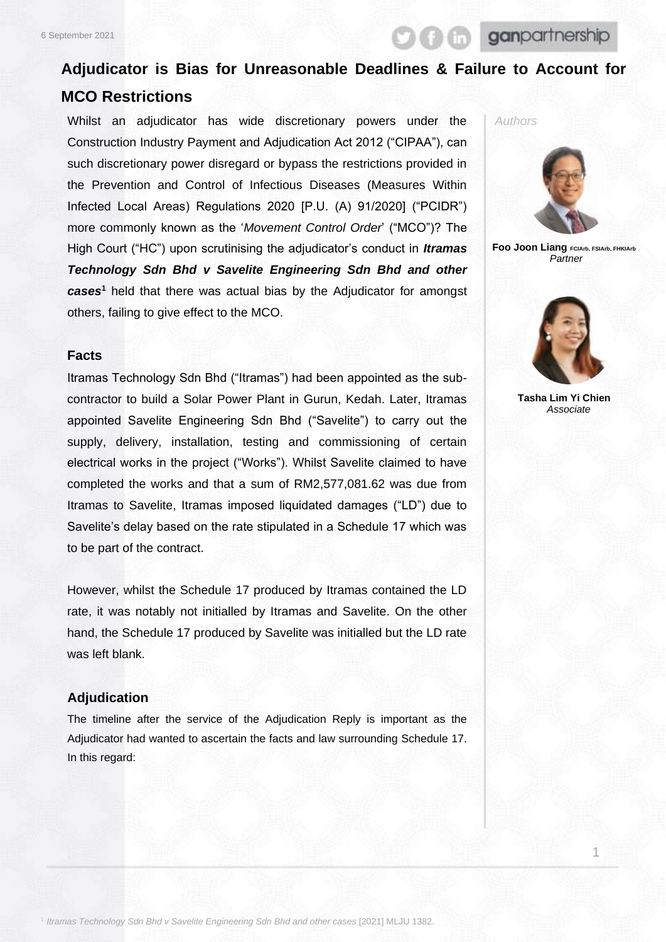ganpartnership

# **Adjudicator is Bias for Unreasonable Deadlines & Failure to Account for MCO Restrictions**

Whilst an adjudicator has wide discretionary powers under the Construction Industry Payment and Adjudication Act 2012 ("CIPAA"), can such discretionary power disregard or bypass the restrictions provided in the Prevention and Control of Infectious Diseases (Measures Within Infected Local Areas) Regulations 2020 [P.U. (A) 91/2020] ("PCIDR") more commonly known as the '*Movement Control Order*' ("MCO")? The High Court ("HC") upon scrutinising the adjudicator's conduct in *Itramas Technology Sdn Bhd v Savelite Engineering Sdn Bhd and other cases***<sup>1</sup>** held that there was actual bias by the Adjudicator for amongst others, failing to give effect to the MCO.

#### **Facts**

Itramas Technology Sdn Bhd ("Itramas") had been appointed as the subcontractor to build a Solar Power Plant in Gurun, Kedah. Later, Itramas appointed Savelite Engineering Sdn Bhd ("Savelite") to carry out the supply, delivery, installation, testing and commissioning of certain electrical works in the project ("Works"). Whilst Savelite claimed to have completed the works and that a sum of RM2,577,081.62 was due from Itramas to Savelite, Itramas imposed liquidated damages ("LD") due to Savelite's delay based on the rate stipulated in a Schedule 17 which was to be part of the contract.

However, whilst the Schedule 17 produced by Itramas contained the LD rate, it was notably not initialled by Itramas and Savelite. On the other hand, the Schedule 17 produced by Savelite was initialled but the LD rate was left blank.

#### **Adjudication**

The timeline after the service of the Adjudication Reply is important as the Adjudicator had wanted to ascertain the facts and law surrounding Schedule 17. In this regard:





**Foo Joon Liang FCIArb, FSIArb, FHKIArb** *Partner*



**Tasha Lim Yi Chien** *Associate*

1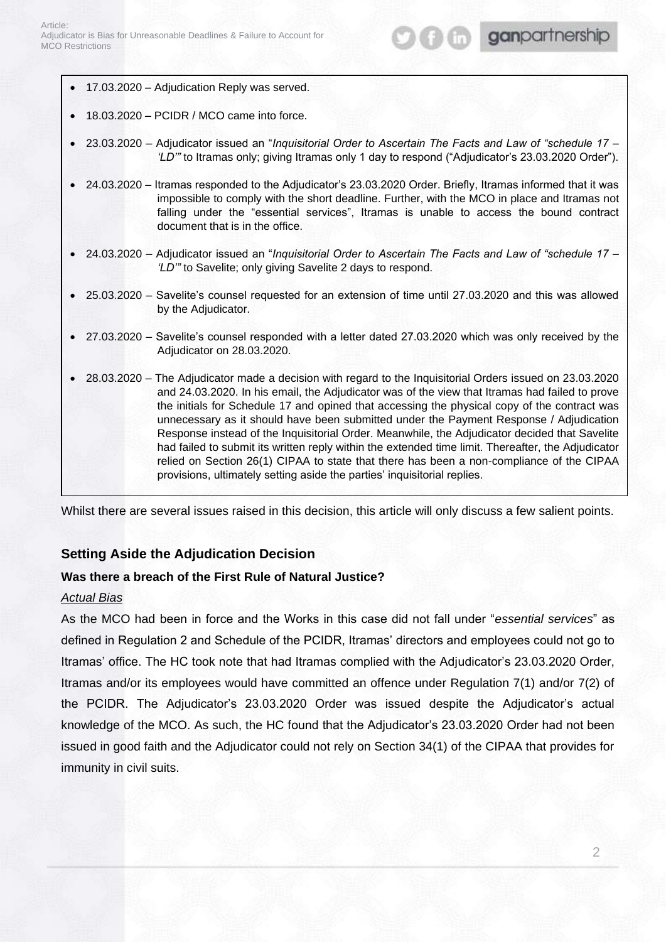- 17.03.2020 Adjudication Reply was served.
- 18.03.2020 PCIDR / MCO came into force.
- 23.03.2020 Adjudicator issued an "*Inquisitorial Order to Ascertain The Facts and Law of "schedule 17 – 'LD'"* to Itramas only; giving Itramas only 1 day to respond ("Adjudicator's 23.03.2020 Order").
- 24.03.2020 Itramas responded to the Adjudicator's 23.03.2020 Order. Briefly, Itramas informed that it was impossible to comply with the short deadline. Further, with the MCO in place and Itramas not falling under the "essential services", Itramas is unable to access the bound contract document that is in the office.
- 24.03.2020 Adjudicator issued an "*Inquisitorial Order to Ascertain The Facts and Law of "schedule 17 – 'LD'"* to Savelite; only giving Savelite 2 days to respond.
- 25.03.2020 Savelite's counsel requested for an extension of time until 27.03.2020 and this was allowed by the Adjudicator.
- 27.03.2020 Savelite's counsel responded with a letter dated 27.03.2020 which was only received by the Adjudicator on 28.03.2020.
- 28.03.2020 The Adjudicator made a decision with regard to the Inquisitorial Orders issued on 23.03.2020 and 24.03.2020. In his email, the Adjudicator was of the view that Itramas had failed to prove the initials for Schedule 17 and opined that accessing the physical copy of the contract was unnecessary as it should have been submitted under the Payment Response / Adjudication Response instead of the Inquisitorial Order. Meanwhile, the Adjudicator decided that Savelite had failed to submit its written reply within the extended time limit. Thereafter, the Adjudicator relied on Section 26(1) CIPAA to state that there has been a non-compliance of the CIPAA provisions, ultimately setting aside the parties' inquisitorial replies.

Whilst there are several issues raised in this decision, this article will only discuss a few salient points.

## **Setting Aside the Adjudication Decision**

## **Was there a breach of the First Rule of Natural Justice?**

## *Actual Bias*

As the MCO had been in force and the Works in this case did not fall under "*essential services*" as defined in Regulation 2 and Schedule of the PCIDR, Itramas' directors and employees could not go to Itramas' office. The HC took note that had Itramas complied with the Adjudicator's 23.03.2020 Order, Itramas and/or its employees would have committed an offence under Regulation 7(1) and/or 7(2) of the PCIDR. The Adjudicator's 23.03.2020 Order was issued despite the Adjudicator's actual knowledge of the MCO. As such, the HC found that the Adjudicator's 23.03.2020 Order had not been issued in good faith and the Adjudicator could not rely on Section 34(1) of the CIPAA that provides for immunity in civil suits.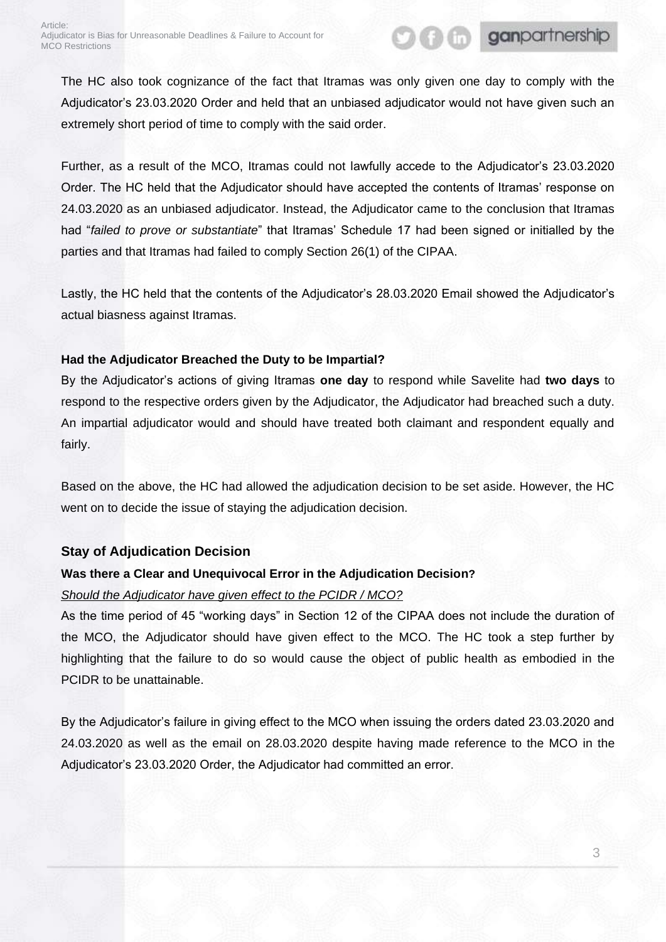The HC also took cognizance of the fact that Itramas was only given one day to comply with the Adjudicator's 23.03.2020 Order and held that an unbiased adjudicator would not have given such an extremely short period of time to comply with the said order.

Further, as a result of the MCO, Itramas could not lawfully accede to the Adjudicator's 23.03.2020 Order. The HC held that the Adjudicator should have accepted the contents of Itramas' response on 24.03.2020 as an unbiased adjudicator. Instead, the Adjudicator came to the conclusion that Itramas had "*failed to prove or substantiate*" that Itramas' Schedule 17 had been signed or initialled by the parties and that Itramas had failed to comply Section 26(1) of the CIPAA.

Lastly, the HC held that the contents of the Adjudicator's 28.03.2020 Email showed the Adjudicator's actual biasness against Itramas.

## **Had the Adjudicator Breached the Duty to be Impartial?**

By the Adjudicator's actions of giving Itramas **one day** to respond while Savelite had **two days** to respond to the respective orders given by the Adjudicator, the Adjudicator had breached such a duty. An impartial adjudicator would and should have treated both claimant and respondent equally and fairly.

Based on the above, the HC had allowed the adjudication decision to be set aside. However, the HC went on to decide the issue of staying the adjudication decision.

## **Stay of Adjudication Decision**

## **Was there a Clear and Unequivocal Error in the Adjudication Decision?**

## *Should the Adjudicator have given effect to the PCIDR / MCO?*

As the time period of 45 "working days" in Section 12 of the CIPAA does not include the duration of the MCO, the Adjudicator should have given effect to the MCO. The HC took a step further by highlighting that the failure to do so would cause the object of public health as embodied in the PCIDR to be unattainable.

By the Adjudicator's failure in giving effect to the MCO when issuing the orders dated 23.03.2020 and 24.03.2020 as well as the email on 28.03.2020 despite having made reference to the MCO in the Adjudicator's 23.03.2020 Order, the Adjudicator had committed an error.